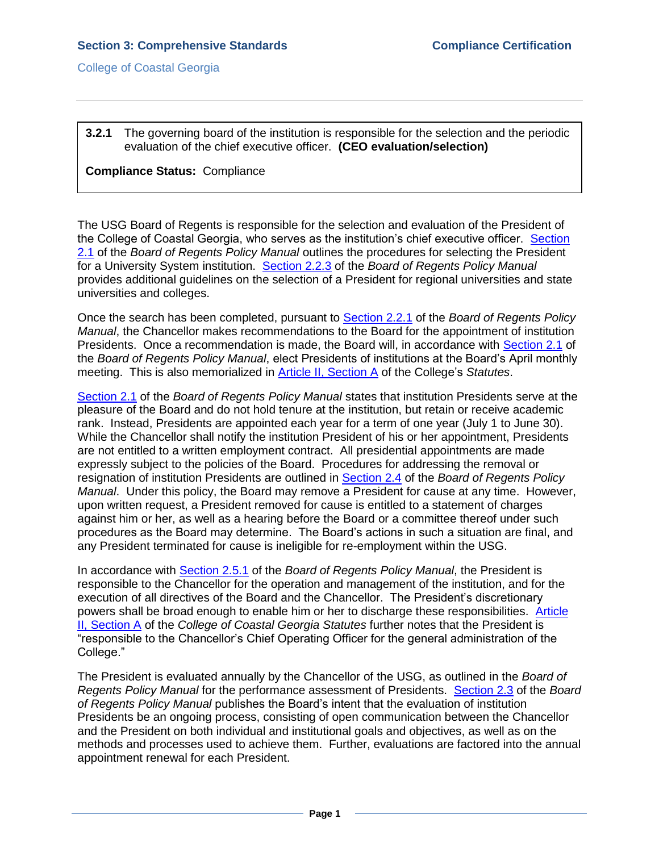## **3.2.1** The governing board of the institution is responsible for the selection and the periodic evaluation of the chief executive officer. **(CEO evaluation/selection)**

## **Compliance Status:** Compliance

The USG Board of Regents is responsible for the selection and evaluation of the President of the College of Coastal Georgia, who serves as the institution's chief executive officer. [Section](3.2.1.aUSGBORpolicymanual2.1.pdf#page=1)  [2.1](3.2.1.aUSGBORpolicymanual2.1.pdf#page=1) of the *Board of Regents Policy Manual* outlines the procedures for selecting the President for a University System institution. [Section 2.2.3](3.2.1.bUSGBORpolicymanual2.2.3.pdf#page=1) of the *Board of Regents Policy Manual* provides additional guidelines on the selection of a President for regional universities and state universities and colleges.

Once the search has been completed, pursuant to [Section 2.2.1](3.2.1.cUSGBORpolicymanual2.2.1.pdf#page=1) of the *Board of Regents Policy Manual*, the Chancellor makes recommendations to the Board for the appointment of institution Presidents. Once a recommendation is made, the Board will, in accordance with [Section 2.1](3.2.1.aUSGBORpolicymanual2.1.pdf#page=1) of the *Board of Regents Policy Manual*, elect Presidents of institutions at the Board's April monthly meeting. This is also memorialized in [Article II, Section A](CCGAstatutes.pdf#page=7) of the College's *Statutes*.

[Section 2.1](3.2.1.aUSGBORpolicymanual2.1.pdf#page=1) of the *Board of Regents Policy Manual* states that institution Presidents serve at the pleasure of the Board and do not hold tenure at the institution, but retain or receive academic rank. Instead, Presidents are appointed each year for a term of one year (July 1 to June 30). While the Chancellor shall notify the institution President of his or her appointment, Presidents are not entitled to a written employment contract. All presidential appointments are made expressly subject to the policies of the Board. Procedures for addressing the removal or resignation of institution Presidents are outlined in [Section 2.4](3.2.1.eUSGBORpolicymanual2.4.pdf#page=1) of the *Board of Regents Policy Manual*. Under this policy, the Board may remove a President for cause at any time. However, upon written request, a President removed for cause is entitled to a statement of charges against him or her, as well as a hearing before the Board or a committee thereof under such procedures as the Board may determine. The Board's actions in such a situation are final, and any President terminated for cause is ineligible for re-employment within the USG.

In accordance with [Section 2.5.1](3.2.1.fUSGBORpolicymanual2.5.1.pdf#page=1) of the *Board of Regents Policy Manual*, the President is responsible to the Chancellor for the operation and management of the institution, and for the execution of all directives of the Board and the Chancellor. The President's discretionary powers shall be broad enough to enable him or her to discharge these responsibilities. [Article](CCGAstatutes.pdf#page=7)  [II, Section A](CCGAstatutes.pdf#page=7) of the *College of Coastal Georgia Statutes* further notes that the President is "responsible to the Chancellor's Chief Operating Officer for the general administration of the College."

The President is evaluated annually by the Chancellor of the USG, as outlined in the *Board of Regents Policy Manual* for the performance assessment of Presidents. [Section 2.3](3.2.1.gUSGBORpolicymanual2.3.pdf#page=1) of the *Board of Regents Policy Manual* publishes the Board's intent that the evaluation of institution Presidents be an ongoing process, consisting of open communication between the Chancellor and the President on both individual and institutional goals and objectives, as well as on the methods and processes used to achieve them. Further, evaluations are factored into the annual appointment renewal for each President.